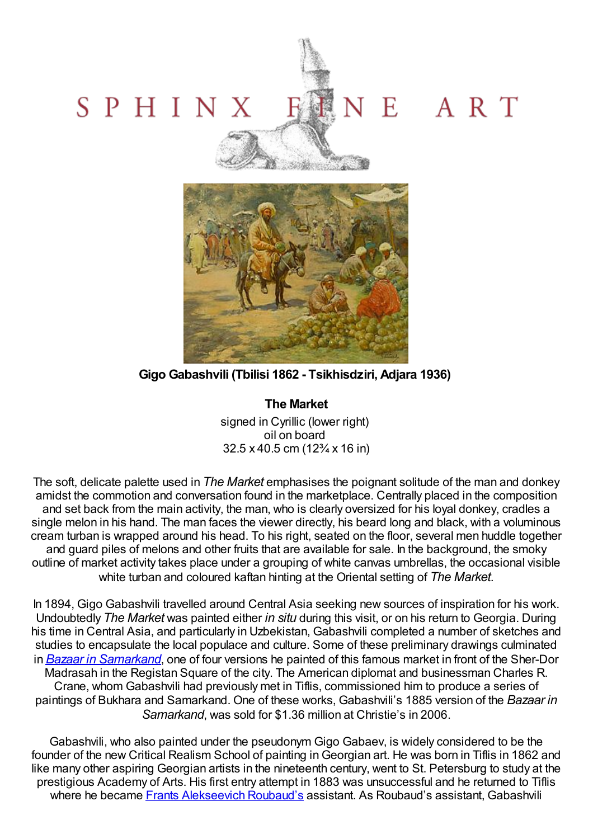## NE ART SPHINX Website College



**Gigo Gabashvili (Tbilisi 1862 - Tsikhisdziri, Adjara 1936)**

**The Market** signed in Cyrillic (lower right) oil on board 32.5 x 40.5 cm (12¾ x 16 in)

The soft, delicate palette used in *The Market* emphasises the poignant solitude of the man and donkey amidst the commotion and conversation found in the marketplace. Centrally placed in the composition and set back from the main activity, the man, who is clearly oversized for his loyal donkey, cradles a single melon in his hand. The man faces the viewer directly, his beard long and black, with a voluminous cream turban is wrapped around his head. To his right, seated on the floor, several men huddle together and guard piles of melons and other fruits that are available for sale. In the background, the smoky outline of market activity takes place under a grouping of white canvas umbrellas, the occasional visible white turban and coloured kaftan hinting at the Oriental setting of *The Market*.

In 1894, Gigo Gabashvili travelled around Central Asia seeking new sources of inspiration for his work. Undoubtedly *The Market* was painted either *in situ* during this visit, or on his return to Georgia. During his time in Central Asia, and particularly in Uzbekistan, Gabashvili completed a number of sketches and studies to encapsulate the local populace and culture. Some of these preliminary drawings culminated in *Bazaar in [Samarkand](http://en.wikipedia.org/wiki/File:Gigo_Gabashvili._Bazaar_in_Samarkand.jpg)*, one of four versions he painted of this famous market in front of the Sher-Dor Madrasah in the Registan Square of the city. The American diplomat and businessman Charles R. Crane, whom Gabashvili had previously met in Tiflis, commissioned him to produce a series of paintings of Bukhara and Samarkand. One of these works, Gabashvili's 1885 version of the *Bazaar in Samarkand*, was sold for \$1.36 million at Christie's in 2006.

Gabashvili, who also painted under the pseudonym Gigo Gabaev, is widely considered to be the founder of the new Critical Realism School of painting inGeorgian art. He was born in Tiflis in 1862 and like many other aspiring Georgian artists in the nineteenth century, went to St. Petersburg to study at the prestigious Academy of Arts. His first entry attempt in 1883 was unsuccessful and he returned to Tiflis where he became Frants [Alekseevich](http://www.sphinxfineart.com/Roubaud-Frants-Alekseevich-DesktopDefault.aspx?tabid=45&tabindex=44&artistid=22244) Roubaud's assistant. As Roubaud's assistant, Gabashvili